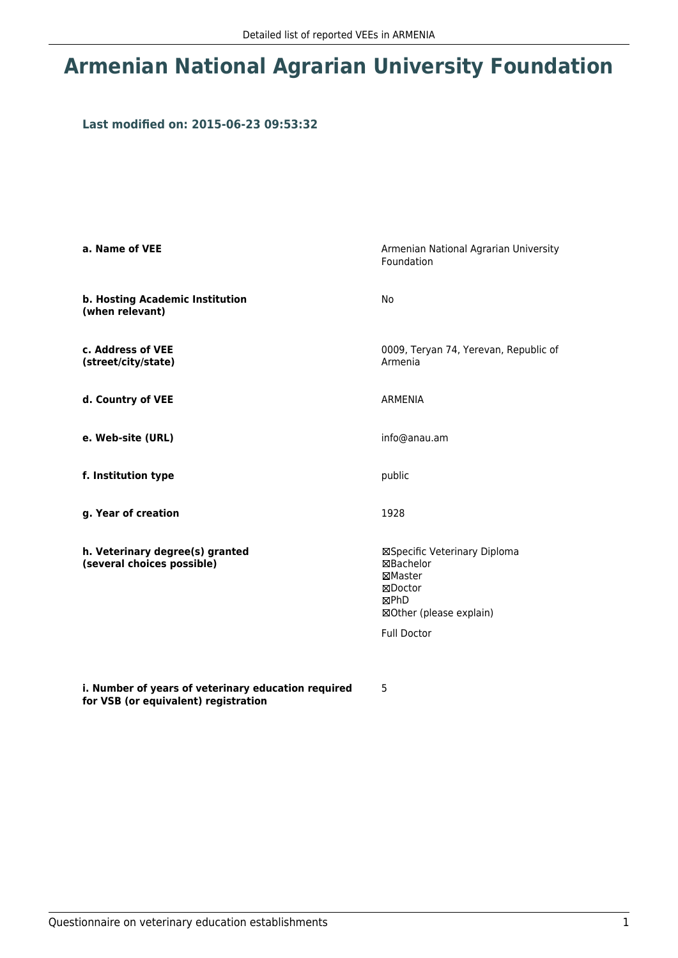## **Armenian National Agrarian University Foundation**

## **Last modified on: 2015-06-23 09:53:32**

| a. Name of VEE                                                | Armenian National Agrarian University<br>Foundation                                                                      |
|---------------------------------------------------------------|--------------------------------------------------------------------------------------------------------------------------|
| b. Hosting Academic Institution<br>(when relevant)            | No                                                                                                                       |
| c. Address of VEE<br>(street/city/state)                      | 0009, Teryan 74, Yerevan, Republic of<br>Armenia                                                                         |
| d. Country of VEE                                             | <b>ARMENIA</b>                                                                                                           |
| e. Web-site (URL)                                             | info@anau.am                                                                                                             |
| f. Institution type                                           | public                                                                                                                   |
| g. Year of creation                                           | 1928                                                                                                                     |
| h. Veterinary degree(s) granted<br>(several choices possible) | ⊠Specific Veterinary Diploma<br>⊠Bachelor<br>⊠Master<br>⊠Doctor<br>⊠PhD<br>⊠Other (please explain)<br><b>Full Doctor</b> |

**i. Number of years of veterinary education required for VSB (or equivalent) registration**

5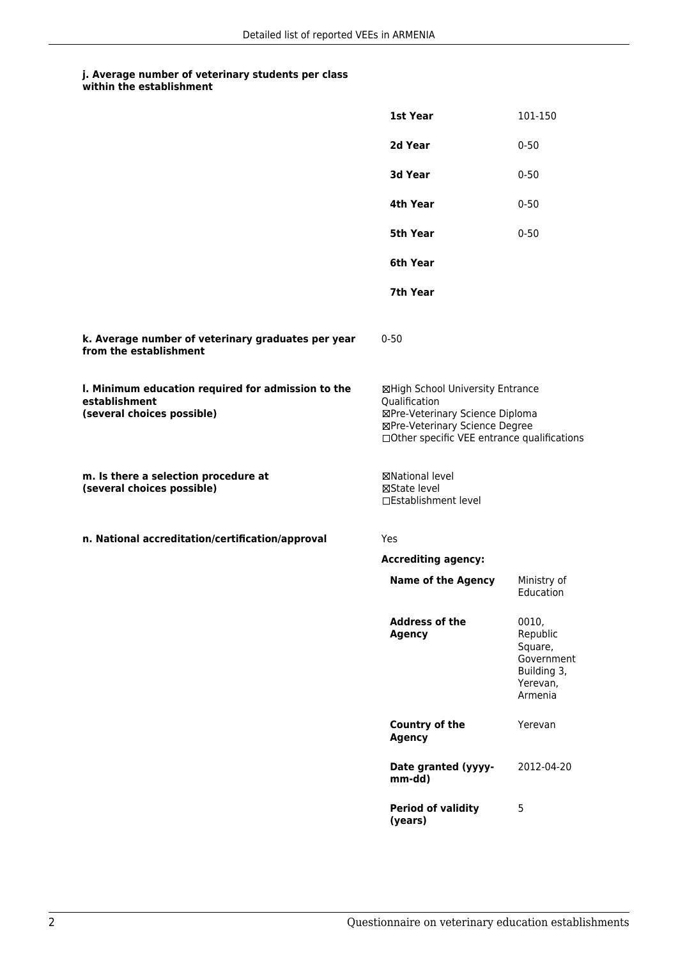## **j. Average number of veterinary students per class**

|                                                                                                   | 1st Year                                                                                                                                                              | 101-150                                                                          |
|---------------------------------------------------------------------------------------------------|-----------------------------------------------------------------------------------------------------------------------------------------------------------------------|----------------------------------------------------------------------------------|
|                                                                                                   | 2d Year                                                                                                                                                               | $0 - 50$                                                                         |
|                                                                                                   | 3d Year                                                                                                                                                               | $0 - 50$                                                                         |
|                                                                                                   | 4th Year                                                                                                                                                              | $0 - 50$                                                                         |
|                                                                                                   | 5th Year                                                                                                                                                              | $0 - 50$                                                                         |
|                                                                                                   | 6th Year                                                                                                                                                              |                                                                                  |
|                                                                                                   | 7th Year                                                                                                                                                              |                                                                                  |
| k. Average number of veterinary graduates per year<br>from the establishment                      | $0 - 50$                                                                                                                                                              |                                                                                  |
| I. Minimum education required for admission to the<br>establishment<br>(several choices possible) | ⊠High School University Entrance<br>Qualification<br>⊠Pre-Veterinary Science Diploma<br>⊠Pre-Veterinary Science Degree<br>□Other specific VEE entrance qualifications |                                                                                  |
| m. Is there a selection procedure at<br>(several choices possible)                                | ⊠National level<br>⊠State level<br>□Establishment level                                                                                                               |                                                                                  |
| n. National accreditation/certification/approval                                                  | Yes                                                                                                                                                                   |                                                                                  |
|                                                                                                   | <b>Accrediting agency:</b>                                                                                                                                            |                                                                                  |
|                                                                                                   | <b>Name of the Agency</b>                                                                                                                                             | Ministry of<br>Education                                                         |
|                                                                                                   | <b>Address of the</b><br><b>Agency</b>                                                                                                                                | 0010,<br>Republic<br>Square,<br>Government<br>Building 3,<br>Yerevan,<br>Armenia |
|                                                                                                   | Country of the<br><b>Agency</b>                                                                                                                                       | Yerevan                                                                          |
|                                                                                                   | Date granted (yyyy-<br>mm-dd)                                                                                                                                         | 2012-04-20                                                                       |
|                                                                                                   | <b>Period of validity</b><br>(years)                                                                                                                                  | 5                                                                                |